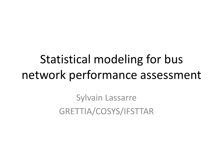# Statistical modeling for bus network performance assessment

Sylvain Lassarre GRETTIA/COSYS/IFSTTAR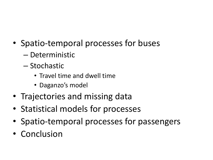- Spatio-temporal processes for buses
	- Deterministic
	- Stochastic
		- Travel time and dwell time
		- Daganzo's model
- Trajectories and missing data
- Statistical models for processes
- Spatio-temporal processes for passengers
- Conclusion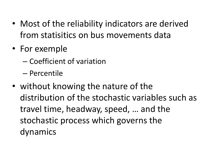- Most of the reliability indicators are derived from statisitics on bus movements data
- For exemple
	- Coefficient of variation
	- Percentile
- without knowing the nature of the distribution of the stochastic variables such as travel time, headway, speed, … and the stochastic process which governs the dynamics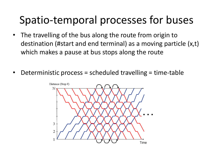### Spatio-temporal processes for buses

- The travelling of the bus along the route from origin to destination (#start and end terminal) as a moving particle (x,t) which makes a pause at bus stops along the route
- Deterministic process = scheduled travelling = time-table

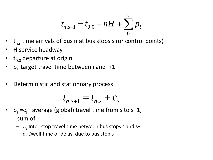$$
t_{n,s+1} = t_{0,0} + nH + \sum_{0}^{s} p_i
$$

- $t_{n,s}$  time arrivals of bus n at bus stops s (or control points)
- H service headway
- $t_{0.0}$  departure at origin
- p<sub>i</sub> target travel time between i and i+1
- Deterministic and stationnary process

$$
t_{n,s+1} = t_{n,s} + c_s
$$

- $p_s = c_s$  average (global) travel time from s to s+1, sum of
	- $\pi$ <sub>s</sub> Inter-stop travel time between bus stops s and s+1
	- $-$  d<sub>s</sub> Dwell time or delay due to bus stop s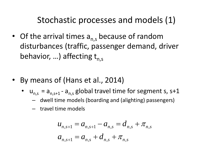Stochastic processes and models (1)

- Of the arrival times  $a_{ns}$  because of random disturbances (traffic, passenger demand, driver behavior, ...) affecting  $t_{ns}$
- By means of (Hans et al., 2014)
	- $u_{n,s} = a_{n,s+1} a_{n,s}$  global travel time for segment s, s+1
		- dwell time models (boarding and (alighting) passengers)
		- travel time models

$$
u_{n,s+1} = a_{n,s+1} - a_{n,s} = d_{n,s} + \pi_{n,s}
$$
  

$$
a_{n,s+1} = a_{n,s} + d_{n,s} + \pi_{n,s}
$$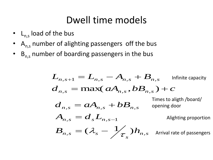### Dwell time models

- $L_{n,s}$  load of the bus
- $A_{n,s}$  number of alighting passengers off the bus
- $B_{n,s}$  number of boarding passengers in the bus

$$
L_{n,s+1} = L_{n,s} - A_{n,s} + B_{n,s}
$$
 Infinite capacity  
\n
$$
d_{n,s} = \max(aA_{n,s}, bB_{n,s}) + c
$$
  
\n
$$
d_{n,s} = aA_{n,s} + bB_{n,s}
$$
 Times to alight/board/  
\n
$$
A_{n,s} = d_s L_{n,s-1}
$$
 Alightly in the proportion  
\n
$$
B_{n,s} = (\lambda_s - \frac{1}{\lambda_s})h_{n,s}
$$
 Arrival rate of passengers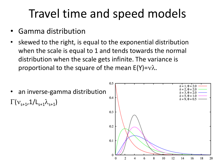# Travel time and speed models

- Gamma distribution
- skewed to the right, is equal to the exponential distribution when the scale is equal to 1 and tends towards the normal distribution when the scale gets infinite. The variance is proportional to the square of the mean  $E(Y)=v\lambda$ .

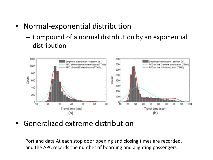- Normal-exponential distribution
	- Compound of a normal distribution by an exponential distribution



• Generalized extreme distribution

Portland data At each stop door opening and closing times are recorded, and the APC records the number of boarding and alighting passengers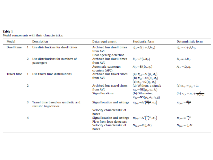| Table 1 |  |                                              |
|---------|--|----------------------------------------------|
|         |  | Model components with their characteristics, |

| Model              |    | Description                                                  | Data requirement                                               | Stochastic form                                                                                                                                                                                | Deterministic form                                                                         |
|--------------------|----|--------------------------------------------------------------|----------------------------------------------------------------|------------------------------------------------------------------------------------------------------------------------------------------------------------------------------------------------|--------------------------------------------------------------------------------------------|
| Dwell time         |    | Use distributions for dwell times                            | Archived bus dwell times<br>from AVL<br>Door opening detection | $d_{is} \rightarrow \mathcal{E}(c + \beta_3 h_{is})$                                                                                                                                           | $d_{is} = c + \beta_s h_{is}$                                                              |
|                    | 2. | Use distributions for numbers of<br>passengers               | Archived bus dwell times<br>from AVL                           | $B_{is} \rightarrow P(\lambda_s h_{is})$                                                                                                                                                       | $B_{i,s} = \lambda_s h_{i,s}$                                                              |
|                    |    |                                                              | Automatic passenger<br>counters (APC)                          | $A_{is} \rightarrow Bi(L_{is}, \eta_s)$                                                                                                                                                        | $A_{is} = L_{is} \eta_s$                                                                   |
| <b>Travel time</b> |    | Use travel time distributions                                | Archived bus travel times<br>from AVL                          | (a) $\pi_{is} \rightarrow \mathcal{N}(\mu_s, \sigma_s)$<br>(b) $\pi_{is} \rightarrow \mathcal{L} \setminus (\mu_s, \sigma_s)$<br>$(c)$ $\pi_{is} \rightarrow \mathcal{G}(\mu_{s}, \sigma_{s})$ |                                                                                            |
|                    | 2  |                                                              | Archived bus travel times<br>from AVL                          | (a) Without a signal:<br>$\pi_{is} \rightarrow \text{NE}(\mu_s, \sigma_s, \lambda_s)$                                                                                                          | (a) $\pi_{is} = \mu_s + \lambda_s$<br>(b) $\pi_{i,s} = \mu_s + \frac{\mu_s^2}{2(r_s+c_s)}$ |
|                    |    |                                                              | Signal locations                                               | (b) Otherwise:<br>$\pi_{is} \rightarrow NS(\mu_s, \sigma_s, r_s, g)$                                                                                                                           |                                                                                            |
|                    | з. | Travel time based on synthetic and<br>realistic trajectories | Signal location and settings                                   | $\pi_{is,n} \rightarrow \mathcal{N}\left(\frac{\Delta x_{is}}{p}, \sigma_s\right)$                                                                                                             | $\pi_{i,n} = \frac{\Delta x_{i,n}}{n}$                                                     |
|                    |    |                                                              | Velocity characteristic of<br>buses                            |                                                                                                                                                                                                |                                                                                            |
|                    | 4  |                                                              | Signal location and settings<br>Flow from loop detectors       | $\pi_{i,s,n} \rightarrow \mathcal{N}\left(\frac{\Delta x_{i,n}}{v}, \sigma_s\right)$                                                                                                           | $\pi_{i,s,n} = \frac{\Delta x_{i,n}}{n}$                                                   |
|                    |    |                                                              | Velocity characteristic of<br><b>buses</b>                     | $N_{is,n} \rightarrow P(q, \Delta t)$                                                                                                                                                          | $N_{is,n} = q_s \Delta t$                                                                  |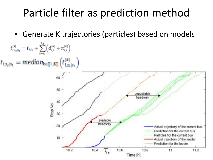### Particle filter as prediction method

• Generate K trajectories (particles) based on models

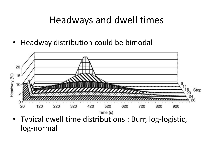#### Headways and dwell times

• Headway distribution could be bimodal



• Typical dwell time distributions : Burr, log-logistic, log-normal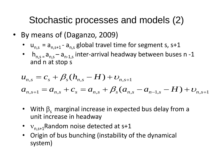### Stochastic processes and models (2)

- By means of (Daganzo, 2009)
	- $u_{n,s} = a_{n,s+1} a_{n,s}$  global travel time for segment s, s+1
	- $h_{n,s} = a_{n,s} a_{n-1,s}$  inter-arrival headway between buses n -1 and n at stop s

$$
u_{n,s} = c_s + \beta_s (h_{n,s} - H) + v_{n,s+1}
$$
  
\n
$$
a_{n,s+1} = a_{n,s} + c_s = a_{n,s} + \beta_s (a_{n,s} - a_{n-1,s} - H) + v_{n,s+1}
$$

- With  $\beta_{s}$  marginal increase in expected bus delay from a unit increase in headway
- $v_{n,s+1}$ Random noise detected at s+1
- Origin of bus bunching (instability of the dynamical system)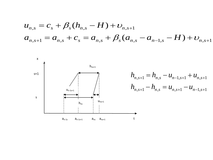$$
u_{n,s} = c_s + \beta_s (h_{n,s} - H) + v_{n,s+1}
$$
  
\n
$$
a_{n,s+1} = a_{n,s} + c_s = a_{n,s} + \beta_s (a_{n,s} - a_{n-1,s} - H) + v_{n,s+1}
$$

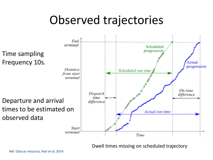## Observed trajectories



Dwell times missing on scheduled trajectory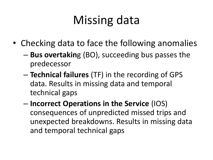# Missing data

- Checking data to face the following anomalies
	- **Bus overtakin**g (BO), succeeding bus passes the predecessor
	- **Technical failures** (TF) in the recording of GPS data. Results in missing data and temporal technical gaps
	- **Incorrect Operations in the Service** (IOS) consequences of unpredicted missed trips and unexpected breakdowns. Results in missing data and temporal technical gaps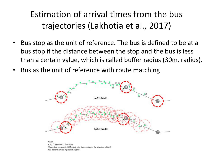#### Estimation of arrival times from the bus trajectories (Lakhotia et al., 2017)

- Bus stop as the unit of reference. The bus is defined to be at a bus stop if the distance between the stop and the bus is less than a certain value, which is called buffer radius (30m. radius).
- Bus as the unit of reference with route matching



Note: A. B. Crepresent 3 bus stops Green dots represent GPS points of a bus moving in the direction A to C Red dashed circles represent buffers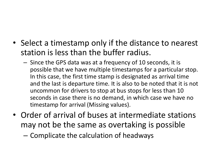- Select a timestamp only if the distance to nearest station is less than the buffer radius.
	- Since the GPS data was at a frequency of 10 seconds, it is possible that we have multiple timestamps for a particular stop. In this case, the first time stamp is designated as arrival time and the last is departure time. It is also to be noted that it is not uncommon for drivers to stop at bus stops for less than 10 seconds in case there is no demand, in which case we have no timestamp for arrival (Missing values).
- Order of arrival of buses at intermediate stations may not be the same as overtaking is possible
	- Complicate the calculation of headways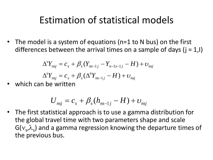#### Estimation of statistical models

• The model is a system of equations (n=1 to N bus) on the first differences between the arrival times on a sample of days  $(j = 1, l)$ 

$$
\Delta^s Y_{nsj} = c_s + \beta_s (Y_{ns-1j} - Y_{n-1s-1j} - H) + \nu_{nsj}
$$
  

$$
\Delta^s Y_{nsj} = c_s + \beta_s (\Delta^n Y_{ns-1j} - H) + \nu_{nsj}
$$

which can be written

$$
U_{nsj} = c_s + \beta_s (h_{ns-1j} - H) + \upsilon_{nsj}
$$

• The first statistical approach is to use a gamma distribution for the global travel time with two parameters shape and scale  $G(v<sub>s</sub>,\lambda<sub>s</sub>)$  and a gamma regression knowing the departure times of the previous bus.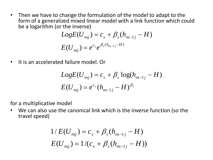• Then we have to change the formulation of the model to adapt to the form of a generalized mixed linear model with a link function which could be a logarithm (or the inverse)

$$
LogE(U_{nsj}) = c_s + \beta_s (h_{ns-1j} - H)
$$

$$
E(U_{nsj}) = e^{c_s} e^{\beta_s (h_{ns-1j} - H)}
$$

• It is an accelerated failure model. Or

$$
LogE(U_{nsj}) = c_s + \beta_s log(h_{ns-1j} - H)
$$

$$
E(U_{nsj}) = e^{c_s}(h_{ns-1j} - H)^{\beta_s}
$$

for a multiplicative model

• We can also use the canonical link which is the inverse function (so the travel speed)

$$
1/E(U_{nsj}) = c_s + \beta_s (h_{ns-1j} - H)
$$
  

$$
E(U_{nsj}) = 1/(c_s + \beta_s (h_{ns-1j} - H))
$$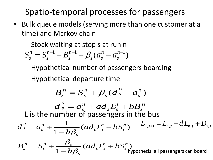Spatio-temporal processes for passengers

- Bulk queue models (serving more than one customer at a time) and Markov chain
	- Stock waiting at stop s at run n

$$
S_s^n = S_s^{n-1} - B_s^{n-1} + \beta_s (a_s^n - a_s^{n-1})
$$

- Hypothetical number of passengers boarding
- Hypothetical departure time

$$
\overline{B}_{s}^{n} = S_{s}^{n} + \beta_{s}(\overline{d}_{s}^{n} - a_{s}^{n})
$$
\n
$$
\overline{d}_{s}^{n} = a_{s}^{n} + ad_{s}L_{s}^{n} + b\overline{B}_{s}^{n}
$$
\nL is the number of passengers in the bus

\n
$$
\overline{d}_{s}^{n} = a_{s}^{n} + \frac{1}{1 - b\beta_{s}}(ad_{s}L_{s}^{n} + bS_{s}^{n}) \qquad L_{n,s+1} = L_{n,s} - dL_{n,s} + B_{n,s}
$$

$$
\overline{B}_{s}^{n} = S_{s}^{n} + \frac{\beta_{s}}{1 - b\beta_{s}} (ad_{s}L_{s}^{n} + bS_{s}^{n})
$$
hypothesis: all passengers can board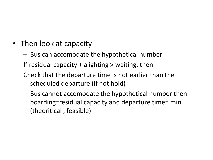- Then look at capacity
	- Bus can accomodate the hypothetical number

If residual capacity  $+$  alighting  $>$  waiting, then

- Check that the departure time is not earlier than the scheduled departure (if not hold)
- Bus cannot accomodate the hypothetical number then boarding=residual capacity and departure time= min (theoritical , feasible)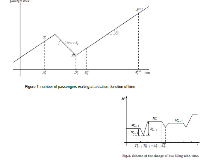



Figure 1: number of passengers waiting at a station, function of time



Fig. 3. Scheme of the change of bus filling with time.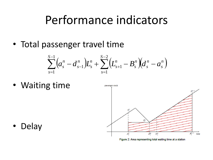## Performance indicators

• Total passenger travel time

$$
\sum_{s=1}^{S-1} (a_s^n - d_{s-1}^n)L_s^n + \sum_{s=1}^{S-2} (L_{s+1}^n - B_s^n)(d_s^n - a_s^n)
$$

• Waiting time



Figure 2: Area representing total waiting time at a station

• Delay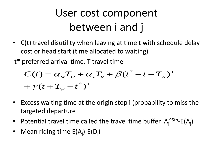## User cost component between i and j

- C(t) travel disutility when leaving at time t with schedule delay cost or head start (time allocated to waiting)
- t\* preferred arrival time, T travel time

$$
C(t) = \alpha_w T_w + \alpha_v T_v + \beta (t^* - t - T_w)^+
$$
  
+  $\gamma (t + T_w - t^*)^+$ 

- Excess waiting time at the origin stop i (probability to miss the targeted departure
- Potential travel time called the travel time buffer  $A_j^{95th}$ -E(A<sub>j</sub>)
- Mean riding time  $E(A_j)$ - $E(D_i)$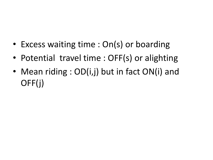- Excess waiting time : On(s) or boarding
- Potential travel time : OFF(s) or alighting
- Mean riding : OD(i,j) but in fact ON(i) and OFF(j)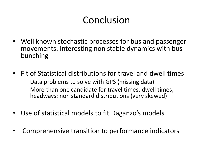### Conclusion

- Well known stochastic processes for bus and passenger movements. Interesting non stable dynamics with bus bunching
- Fit of Statistical distributions for travel and dwell times
	- Data problems to solve with GPS (missing data)
	- More than one candidate for travel times, dwell times, headways: non standard distributions (very skewed)
- Use of statistical models to fit Daganzo's models
- Comprehensive transition to performance indicators